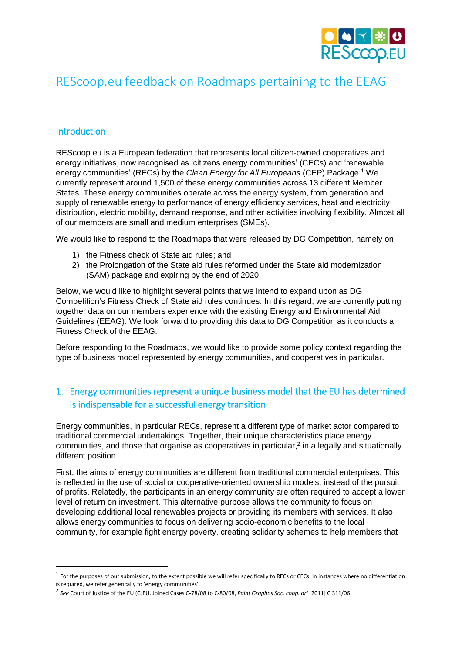

# REScoop.eu feedback on Roadmaps pertaining to the EEAG

#### Introduction

 $\overline{a}$ 

REScoop.eu is a European federation that represents local citizen-owned cooperatives and energy initiatives, now recognised as 'citizens energy communities' (CECs) and 'renewable energy communities' (RECs) by the *Clean Energy for All Europeans* (CEP) Package.<sup>1</sup> We currently represent around 1,500 of these energy communities across 13 different Member States. These energy communities operate across the energy system, from generation and supply of renewable energy to performance of energy efficiency services, heat and electricity distribution, electric mobility, demand response, and other activities involving flexibility. Almost all of our members are small and medium enterprises (SMEs).

We would like to respond to the Roadmaps that were released by DG Competition, namely on:

- 1) the Fitness check of State aid rules; and
- 2) the Prolongation of the State aid rules reformed under the State aid modernization (SAM) package and expiring by the end of 2020.

Below, we would like to highlight several points that we intend to expand upon as DG Competition's Fitness Check of State aid rules continues. In this regard, we are currently putting together data on our members experience with the existing Energy and Environmental Aid Guidelines (EEAG). We look forward to providing this data to DG Competition as it conducts a Fitness Check of the EEAG.

Before responding to the Roadmaps, we would like to provide some policy context regarding the type of business model represented by energy communities, and cooperatives in particular.

## 1. Energy communities represent a unique business model that the EU has determined is indispensable for a successful energy transition

Energy communities, in particular RECs, represent a different type of market actor compared to traditional commercial undertakings. Together, their unique characteristics place energy communities, and those that organise as cooperatives in particular, $<sup>2</sup>$  in a legally and situationally</sup> different position.

First, the aims of energy communities are different from traditional commercial enterprises. This is reflected in the use of social or cooperative-oriented ownership models, instead of the pursuit of profits. Relatedly, the participants in an energy community are often required to accept a lower level of return on investment. This alternative purpose allows the community to focus on developing additional local renewables projects or providing its members with services. It also allows energy communities to focus on delivering socio-economic benefits to the local community, for example fight energy poverty, creating solidarity schemes to help members that

<sup>&</sup>lt;sup>1</sup> For the purposes of our submission, to the extent possible we will refer specifically to RECs or CECs. In instances where no differentiation is required, we refer generically to 'energy communities'.

<sup>2</sup> *See* Court of Justice of the EU (CJEU. Joined Cases C-78/08 to C-80/08, *Paint Graphos Soc. coop. arl* [2011] C 311/06.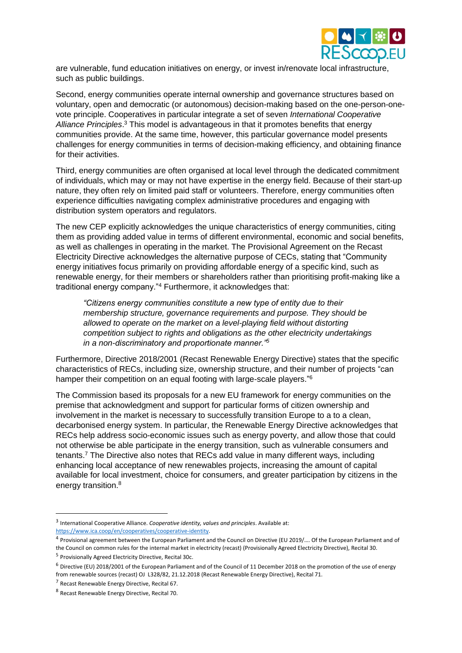

are vulnerable, fund education initiatives on energy, or invest in/renovate local infrastructure, such as public buildings.

Second, energy communities operate internal ownership and governance structures based on voluntary, open and democratic (or autonomous) decision-making based on the one-person-onevote principle. Cooperatives in particular integrate a set of seven *International Cooperative Alliance Principles*. <sup>3</sup> This model is advantageous in that it promotes benefits that energy communities provide. At the same time, however, this particular governance model presents challenges for energy communities in terms of decision-making efficiency, and obtaining finance for their activities.

Third, energy communities are often organised at local level through the dedicated commitment of individuals, which may or may not have expertise in the energy field. Because of their start-up nature, they often rely on limited paid staff or volunteers. Therefore, energy communities often experience difficulties navigating complex administrative procedures and engaging with distribution system operators and regulators.

The new CEP explicitly acknowledges the unique characteristics of energy communities, citing them as providing added value in terms of different environmental, economic and social benefits, as well as challenges in operating in the market. The Provisional Agreement on the Recast Electricity Directive acknowledges the alternative purpose of CECs, stating that "Community energy initiatives focus primarily on providing affordable energy of a specific kind, such as renewable energy, for their members or shareholders rather than prioritising profit-making like a traditional energy company."<sup>4</sup> Furthermore, it acknowledges that:

*"Citizens energy communities constitute a new type of entity due to their membership structure, governance requirements and purpose. They should be allowed to operate on the market on a level-playing field without distorting competition subject to rights and obligations as the other electricity undertakings in a non-discriminatory and proportionate manner."<sup>5</sup>*

Furthermore, Directive 2018/2001 (Recast Renewable Energy Directive) states that the specific characteristics of RECs, including size, ownership structure, and their number of projects "can hamper their competition on an equal footing with large-scale players."<sup>6</sup>

The Commission based its proposals for a new EU framework for energy communities on the premise that acknowledgment and support for particular forms of citizen ownership and involvement in the market is necessary to successfully transition Europe to a to a clean, decarbonised energy system. In particular, the Renewable Energy Directive acknowledges that RECs help address socio-economic issues such as energy poverty, and allow those that could not otherwise be able participate in the energy transition, such as vulnerable consumers and tenants.<sup>7</sup> The Directive also notes that RECs add value in many different ways, including enhancing local acceptance of new renewables projects, increasing the amount of capital available for local investment, choice for consumers, and greater participation by citizens in the energy transition.<sup>8</sup>

**.** 

<sup>3</sup> International Cooperative Alliance. *Cooperative identity, values and principles*. Available at: [https://www.ica.coop/en/cooperatives/cooperative-identity.](https://www.ica.coop/en/cooperatives/cooperative-identity)

<sup>&</sup>lt;sup>4</sup> Provisional agreement between the European Parliament and the Council on Directive (EU 2019/.... Of the European Parliament and of the Council on common rules for the internal market in electricity (recast) (Provisionally Agreed Electricity Directive), Recital 30.

<sup>5</sup> Provisionally Agreed Electricity Directive, Recital 30c.

<sup>6</sup> Directive (EU) 2018/2001 of the European Parliament and of the Council of 11 December 2018 on the promotion of the use of energy from renewable sources (recast) OJ L328/82, 21.12.2018 (Recast Renewable Energy Directive), Recital 71.

<sup>7</sup> Recast Renewable Energy Directive, Recital 67.

<sup>8</sup> Recast Renewable Energy Directive, Recital 70.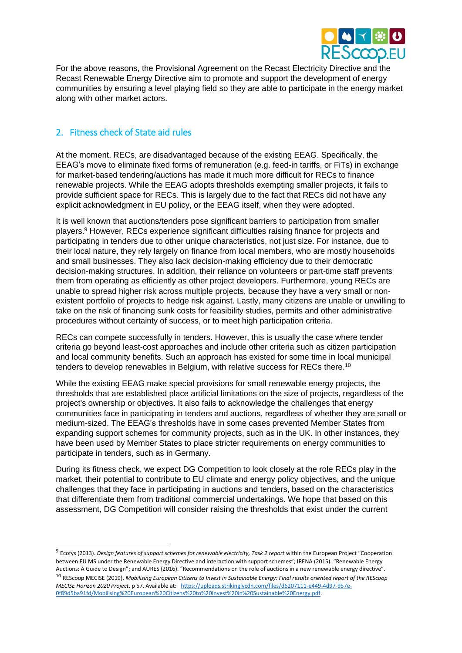

For the above reasons, the Provisional Agreement on the Recast Electricity Directive and the Recast Renewable Energy Directive aim to promote and support the development of energy communities by ensuring a level playing field so they are able to participate in the energy market along with other market actors.

#### 2. Fitness check of State aid rules

1

At the moment, RECs, are disadvantaged because of the existing EEAG. Specifically, the EEAG's move to eliminate fixed forms of remuneration (e.g. feed-in tariffs, or FiTs) in exchange for market-based tendering/auctions has made it much more difficult for RECs to finance renewable projects. While the EEAG adopts thresholds exempting smaller projects, it fails to provide sufficient space for RECs. This is largely due to the fact that RECs did not have any explicit acknowledgment in EU policy, or the EEAG itself, when they were adopted.

It is well known that auctions/tenders pose significant barriers to participation from smaller players.<sup>9</sup> However, RECs experience significant difficulties raising finance for projects and participating in tenders due to other unique characteristics, not just size. For instance, due to their local nature, they rely largely on finance from local members, who are mostly households and small businesses. They also lack decision-making efficiency due to their democratic decision-making structures. In addition, their reliance on volunteers or part-time staff prevents them from operating as efficiently as other project developers. Furthermore, young RECs are unable to spread higher risk across multiple projects, because they have a very small or nonexistent portfolio of projects to hedge risk against. Lastly, many citizens are unable or unwilling to take on the risk of financing sunk costs for feasibility studies, permits and other administrative procedures without certainty of success, or to meet high participation criteria.

RECs can compete successfully in tenders. However, this is usually the case where tender criteria go beyond least-cost approaches and include other criteria such as citizen participation and local community benefits. Such an approach has existed for some time in local municipal tenders to develop renewables in Belgium, with relative success for RECs there.<sup>10</sup>

While the existing EEAG make special provisions for small renewable energy projects, the thresholds that are established place artificial limitations on the size of projects, regardless of the project's ownership or objectives. It also fails to acknowledge the challenges that energy communities face in participating in tenders and auctions, regardless of whether they are small or medium-sized. The EEAG's thresholds have in some cases prevented Member States from expanding support schemes for community projects, such as in the UK. In other instances, they have been used by Member States to place stricter requirements on energy communities to participate in tenders, such as in Germany.

During its fitness check, we expect DG Competition to look closely at the role RECs play in the market, their potential to contribute to EU climate and energy policy objectives, and the unique challenges that they face in participating in auctions and tenders, based on the characteristics that differentiate them from traditional commercial undertakings. We hope that based on this assessment, DG Competition will consider raising the thresholds that exist under the current

<sup>&</sup>lt;sup>9</sup> Ecofys (2013). *Design features of support schemes for renewable electricity, Task 2 report within the European Project "Cooperation* between EU MS under the Renewable Energy Directive and interaction with support schemes"; IRENA (2015). "Renewable Energy Auctions: A Guide to Design"; and AURES (2016). "Recommendations on the role of auctions in a new renewable energy directive". <sup>10</sup> REScoop MECISE (2019). *Mobilising European Citizens to Invest in Sustainable Energy: Final results oriented report of the REScoop MECISE Horizon 2020 Project*, p 57. Available at: [https://uploads.strikinglycdn.com/files/d6207111-e449-4d97-957e-](https://uploads.strikinglycdn.com/files/d6207111-e449-4d97-957e-0f89d5ba91fd/Mobilising%20European%20Citizens%20to%20Invest%20in%20Sustainable%20Energy.pdf)[0f89d5ba91fd/Mobilising%20European%20Citizens%20to%20Invest%20in%20Sustainable%20Energy.pdf.](https://uploads.strikinglycdn.com/files/d6207111-e449-4d97-957e-0f89d5ba91fd/Mobilising%20European%20Citizens%20to%20Invest%20in%20Sustainable%20Energy.pdf)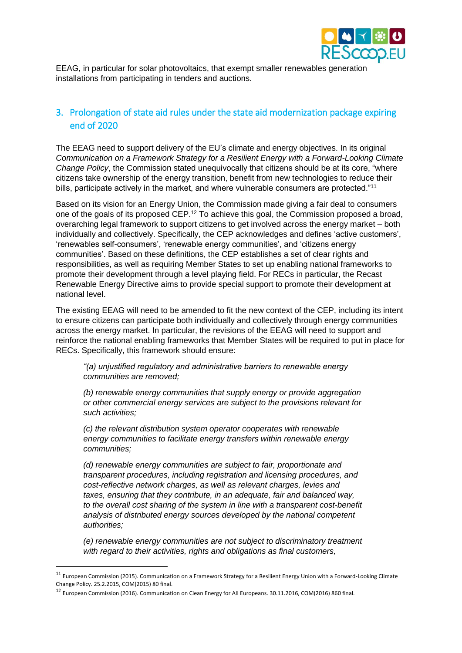

EEAG, in particular for solar photovoltaics, that exempt smaller renewables generation installations from participating in tenders and auctions.

## 3. Prolongation of state aid rules under the state aid modernization package expiring end of 2020

The EEAG need to support delivery of the EU's climate and energy objectives. In its original *Communication on a Framework Strategy for a Resilient Energy with a Forward-Looking Climate Change Policy*, the Commission stated unequivocally that citizens should be at its core, "where citizens take ownership of the energy transition, benefit from new technologies to reduce their bills, participate actively in the market, and where vulnerable consumers are protected."<sup>11</sup>

Based on its vision for an Energy Union, the Commission made giving a fair deal to consumers one of the goals of its proposed CEP.<sup>12</sup> To achieve this goal, the Commission proposed a broad, overarching legal framework to support citizens to get involved across the energy market – both individually and collectively. Specifically, the CEP acknowledges and defines 'active customers', 'renewables self-consumers', 'renewable energy communities', and 'citizens energy communities'. Based on these definitions, the CEP establishes a set of clear rights and responsibilities, as well as requiring Member States to set up enabling national frameworks to promote their development through a level playing field. For RECs in particular, the Recast Renewable Energy Directive aims to provide special support to promote their development at national level.

The existing EEAG will need to be amended to fit the new context of the CEP, including its intent to ensure citizens can participate both individually and collectively through energy communities across the energy market. In particular, the revisions of the EEAG will need to support and reinforce the national enabling frameworks that Member States will be required to put in place for RECs. Specifically, this framework should ensure:

*"(a) unjustified regulatory and administrative barriers to renewable energy communities are removed;*

*(b) renewable energy communities that supply energy or provide aggregation or other commercial energy services are subject to the provisions relevant for such activities;*

*(c) the relevant distribution system operator cooperates with renewable energy communities to facilitate energy transfers within renewable energy communities;*

*(d) renewable energy communities are subject to fair, proportionate and transparent procedures, including registration and licensing procedures, and cost-reflective network charges, as well as relevant charges, levies and taxes, ensuring that they contribute, in an adequate, fair and balanced way, to the overall cost sharing of the system in line with a transparent cost-benefit analysis of distributed energy sources developed by the national competent authorities;*

*(e) renewable energy communities are not subject to discriminatory treatment with regard to their activities, rights and obligations as final customers,* 

 $\overline{a}$ 

<sup>&</sup>lt;sup>11</sup> European Commission (2015). Communication on a Framework Strategy for a Resilient Energy Union with a Forward-Looking Climate Change Policy. 25.2.2015, COM(2015) 80 final.

<sup>12</sup> European Commission (2016). Communication on Clean Energy for All Europeans. 30.11.2016, COM(2016) 860 final.